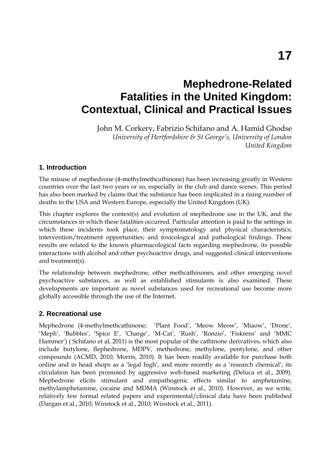# **Mephedrone-Related Fatalities in the United Kingdom: Contextual, Clinical and Practical Issues**

John M. Corkery, Fabrizio Schifano and A. Hamid Ghodse *University of Hertfordshire & St George's, University of London United Kingdom* 

## **1. Introduction**

The misuse of mephedrone (4-methylmethcathinone) has been increasing greatly in Western countries over the last two years or so, especially in the club and dance scenes. This period has also been marked by claims that the substance has been implicated in a rising number of deaths in the USA and Western Europe, especially the United Kingdom (UK).

This chapter explores the context(s) and evolution of mephedrone use in the UK, and the circumstances in which these fatalities occurred. Particular attention is paid to the settings in which these incidents took place, their symptomatology and physical characteristics; intervention/treatment opportunities; and toxicological and pathological findings. These results are related to the known pharmacological facts regarding mephedrone, its possible interactions with alcohol and other psychoactive drugs, and suggested clinical interventions and treatment(s).

The relationship between mephedrone, other methcathinones, and other emerging novel psychoactive substances, as well as established stimulants is also examined. These developments are important as novel substances used for recreational use become more globally accessible through the use of the Internet.

## **2. Recreational use**

Mephedrone (4-methylmethcathinone; 'Plant Food', 'Meow Meow', 'Miaow', 'Drone', 'Meph', 'Bubbles', 'Spice E', 'Charge', 'M-Cat', 'Rush', 'Ronzio', 'Fiskrens' and 'MMC Hammer') ( Schifano et al, 2011) is the most popular of the cathinone derivatives, which also include butylone, flephedrone, MDPV, methedrone, methylone, pentylone, and other compounds (ACMD, 2010; Morris, 2010). It has been readily available for purchase both online and in head shops as a 'legal high', and more recently as a 'research chemical'; its circulation has been promoted by aggressive web-based marketing (Deluca et al., 2009). Mephedrone elicits stimulant and empathogenic effects similar to amphetamine, methylamphetamine, cocaine and MDMA (Winstock et al., 2010). However, as we write, relatively few formal related papers and experimental/clinical data have been published (Dargan et al., 2010; Winstock et al., 2010; Winstock et al., 2011).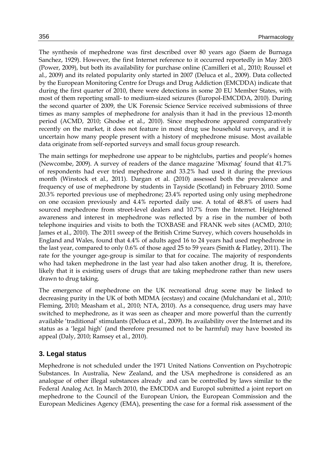The synthesis of mephedrone was first described over 80 years ago (Saem de Burnaga Sanchez, 1929). However, the first Internet reference to it occurred reportedly in May 2003 (Power, 2009), but both its availability for purchase online (Camilleri et al., 2010; Roussel et al., 2009) and its related popularity only started in 2007 (Deluca et al., 2009). Data collected by the European Monitoring Centre for Drugs and Drug Addiction (EMCDDA) indicate that during the first quarter of 2010, there were detections in some 20 EU Member States, with most of them reporting small- to medium-sized seizures (Europol-EMCDDA, 2010). During the second quarter of 2009, the UK Forensic Science Service received submissions of three times as many samples of mephedrone for analysis than it had in the previous 12-month period (ACMD, 2010; Ghodse et al., 2010). Since mephedrone appeared comparatively recently on the market, it does not feature in most drug use household surveys, and it is uncertain how many people present with a history of mephedrone misuse. Most available data originate from self-reported surveys and small focus group research.

The main settings for mephedrone use appear to be nightclubs, parties and people's homes (Newcombe, 2009). A survey of readers of the dance magazine 'Mixmag' found that 41.7% of respondents had ever tried mephedrone and 33.2% had used it during the previous month (Winstock et al., 2011). Dargan et al. (2010) assessed both the prevalence and frequency of use of mephedrone by students in Tayside (Scotland) in February 2010. Some 20.3% reported previous use of mephedrone; 23.4% reported using only using mephedrone on one occasion previously and 4.4% reported daily use. A total of 48.8% of users had sourced mephedrone from street-level dealers and 10.7% from the Internet. Heightened awareness and interest in mephedrone was reflected by a rise in the number of both telephone inquiries and visits to both the TOXBASE and FRANK web sites (ACMD, 2010; James et al., 2010). The 2011 sweep of the British Crime Survey, which covers households in England and Wales, found that 4.4% of adults aged 16 to 24 years had used mephedrone in the last year, compared to only 0.6% of those aged 25 to 59 years (Smith & Flatley, 2011). The rate for the younger age-group is similar to that for cocaine. The majority of respondents who had taken mephedrone in the last year had also taken another drug. It is, therefore, likely that it is existing users of drugs that are taking mephedrone rather than new users drawn to drug taking.

The emergence of mephedrone on the UK recreational drug scene may be linked to decreasing purity in the UK of both MDMA (ecstasy) and cocaine (Mulchandani et al., 2010; Fleming, 2010; Measham et al., 2010; NTA, 2010). As a consequence, drug users may have switched to mephedrone, as it was seen as cheaper and more powerful than the currently available 'traditional' stimulants (Deluca et al., 2009). Its availability over the Internet and its status as a 'legal high' (and therefore presumed not to be harmful) may have boosted its appeal (Daly, 2010; Ramsey et al., 2010).

#### **3. Legal status**

Mephedrone is not scheduled under the 1971 United Nations Convention on Psychotropic Substances. In Australia, New Zealand, and the USA mephedrone is considered as an analogue of other illegal substances already and can be controlled by laws similar to the Federal Analog Act. In March 2010, the EMCDDA and Europol submitted a joint report on mephedrone to the Council of the European Union, the European Commission and the European Medicines Agency (EMA), presenting the case for a formal risk assessment of the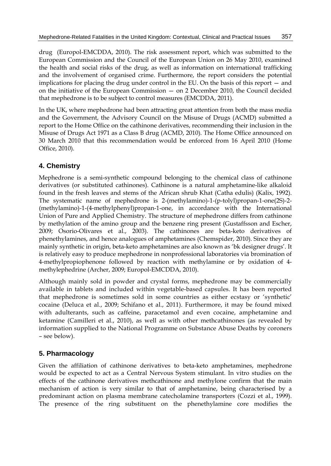drug (Europol-EMCDDA, 2010). The risk assessment report, which was submitted to the European Commission and the Council of the European Union on 26 May 2010, examined the health and social risks of the drug, as well as information on international trafficking and the involvement of organised crime. Furthermore, the report considers the potential implications for placing the drug under control in the EU. On the basis of this report — and on the initiative of the European Commission — on 2 December 2010, the Council decided that mephedrone is to be subject to control measures (EMCDDA, 2011).

In the UK, where mephedrone had been attracting great attention from both the mass media and the Government, the Advisory Council on the Misuse of Drugs (ACMD) submitted a report to the Home Office on the cathinone derivatives, recommending their inclusion in the Misuse of Drugs Act 1971 as a Class B drug (ACMD, 2010). The Home Office announced on 30 March 2010 that this recommendation would be enforced from 16 April 2010 (Home Office, 2010).

# **4. Chemistry**

Mephedrone is a semi-synthetic compound belonging to the chemical class of cathinone derivatives (or substituted cathinones). Cathinone is a natural amphetamine-like alkaloid found in the fresh leaves and stems of the African shrub Khat (Catha edulis) (Kalix, 1992). The systematic name of mephedrone is 2-(methylamino)-1-(p-tolyl)propan-1-one(2S)-2- (methylamino)-1-(4-methylphenyl)propan-1-one, in accordance with the International Union of Pure and Applied Chemistry. The structure of mephedrone differs from cathinone by methylation of the amino group and the benzene ring present (Gustaffsson and Escher, 2009; Osorio-Olivares et al., 2003). The cathinones are beta-keto derivatives of phenethylamines, and hence analogues of amphetamines (Chemspider, 2010). Since they are mainly synthetic in origin, beta-keto amphetamines are also known as 'bk designer drugs'. It is relatively easy to produce mephedrone in nonprofessional laboratories via bromination of 4-methylpropiophenone followed by reaction with methylamine or by oxidation of 4 methylephedrine (Archer, 2009; Europol-EMCDDA, 2010).

Although mainly sold in powder and crystal forms, mephedrone may be commercially available in tablets and included within vegetable-based capsules. It has been reported that mephedrone is sometimes sold in some countries as either ecstasy or 'synthetic' cocaine (Deluca et al., 2009; Schifano et al., 2011). Furthermore, it may be found mixed with adulterants, such as caffeine, paracetamol and even cocaine, amphetamine and ketamine (Camilleri et al., 2010), as well as with other methcathinones (as revealed by information supplied to the National Programme on Substance Abuse Deaths by coroners – see below).

# **5. Pharmacology**

Given the affiliation of cathinone derivatives to beta-keto amphetamines, mephedrone would be expected to act as a Central Nervous System stimulant. In vitro studies on the effects of the cathinone derivatives methcathinone and methylone confirm that the main mechanism of action is very similar to that of amphetamine, being characterised by a predominant action on plasma membrane catecholamine transporters (Cozzi et al., 1999). The presence of the ring substituent on the phenethylamine core modifies the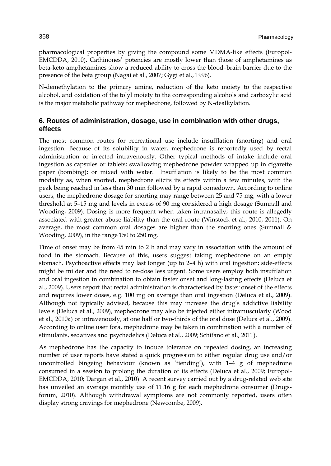pharmacological properties by giving the compound some MDMA-like effects (Europol-EMCDDA, 2010). Cathinones' potencies are mostly lower than those of amphetamines as beta-keto amphetamines show a reduced ability to cross the blood–brain barrier due to the presence of the beta group (Nagai et al., 2007; Gygi et al., 1996).

N-demethylation to the primary amine, reduction of the keto moiety to the respective alcohol, and oxidation of the tolyl moiety to the corresponding alcohols and carboxylic acid is the major metabolic pathway for mephedrone, followed by N-dealkylation.

## **6. Routes of administration, dosage, use in combination with other drugs, effects**

The most common routes for recreational use include insufflation (snorting) and oral ingestion. Because of its solubility in water, mephedrone is reportedly used by rectal administration or injected intravenously. Other typical methods of intake include oral ingestion as capsules or tablets; swallowing mephedrone powder wrapped up in cigarette paper (bombing); or mixed with water. Insufflation is likely to be the most common modality as, when snorted, mephedrone elicits its effects within a few minutes, with the peak being reached in less than 30 min followed by a rapid comedown. According to online users, the mephedrone dosage for snorting may range between 25 and 75 mg, with a lower threshold at 5–15 mg and levels in excess of 90 mg considered a high dosage (Sumnall and Wooding, 2009). Dosing is more frequent when taken intranasally; this route is allegedly associated with greater abuse liability than the oral route (Winstock et al., 2010, 2011). On average, the most common oral dosages are higher than the snorting ones (Sumnall & Wooding, 2009), in the range 150 to 250 mg.

Time of onset may be from 45 min to 2 h and may vary in association with the amount of food in the stomach. Because of this, users suggest taking mephedrone on an empty stomach. Psychoactive effects may last longer (up to 2–4 h) with oral ingestion; side-effects might be milder and the need to re-dose less urgent. Some users employ both insufflation and oral ingestion in combination to obtain faster onset and long-lasting effects (Deluca et al., 2009). Users report that rectal administration is characterised by faster onset of the effects and requires lower doses, e.g. 100 mg on average than oral ingestion (Deluca et al., 2009). Although not typically advised, because this may increase the drug's addictive liability levels (Deluca et al., 2009), mephedrone may also be injected either intramuscularly (Wood et al., 2010a) or intravenously, at one half or two-thirds of the oral dose (Deluca et al., 2009). According to online user fora, mephedrone may be taken in combination with a number of stimulants, sedatives and psychedelics (Deluca et al., 2009; Schifano et al., 2011).

As mephedrone has the capacity to induce tolerance on repeated dosing, an increasing number of user reports have stated a quick progression to either regular drug use and/or uncontrolled bingeing behaviour (known as 'fiending'), with 1–4 g of mephedrone consumed in a session to prolong the duration of its effects (Deluca et al., 2009; Europol-EMCDDA, 2010; Dargan et al., 2010). A recent survey carried out by a drug-related web site has unveiled an average monthly use of 11.16 g for each mephedrone consumer (Drugsforum, 2010). Although withdrawal symptoms are not commonly reported, users often display strong cravings for mephedrone (Newcombe, 2009).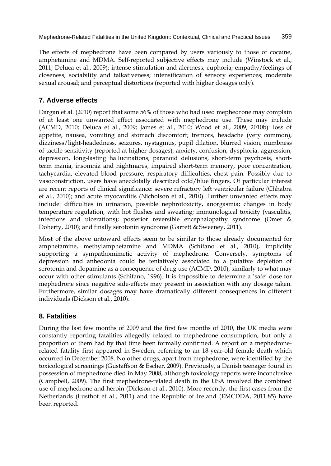The effects of mephedrone have been compared by users variously to those of cocaine, amphetamine and MDMA. Self-reported subjective effects may include (Winstock et al., 2011; Deluca et al., 2009): intense stimulation and alertness, euphoria; empathy/feelings of closeness, sociability and talkativeness; intensification of sensory experiences; moderate sexual arousal; and perceptual distortions (reported with higher dosages only).

## **7. Adverse effects**

Dargan et al. (2010) report that some 56% of those who had used mephedrone may complain of at least one unwanted effect associated with mephedrone use. These may include (ACMD, 2010; Deluca et al., 2009; James et al., 2010; Wood et al., 2009, 2010b): loss of appetite, nausea, vomiting and stomach discomfort; tremors, headache (very common), dizziness/light-headedness, seizures, nystagmus, pupil dilation, blurred vision, numbness of tactile sensitivity (reported at higher dosages); anxiety, confusion, dysphoria, aggression, depression, long-lasting hallucinations, paranoid delusions, short-term psychosis, shortterm mania, insomnia and nightmares, impaired short-term memory, poor concentration, tachycardia, elevated blood pressure, respiratory difficulties, chest pain. Possibly due to vasoconstriction, users have anecdotally described cold/blue fingers. Of particular interest are recent reports of clinical significance: severe refractory left ventricular failure (Chhabra et al., 2010); and acute myocarditis (Nicholson et al., 2010). Further unwanted effects may include: difficulties in urination, possible nephrotoxicity, anorgasmia; changes in body temperature regulation, with hot flushes and sweating; immunological toxicity (vasculitis, infections and ulcerations); posterior reversible encephalopathy syndrome (Omer & Doherty, 2010); and finally serotonin syndrome (Garrett & Sweeney, 2011).

Most of the above untoward effects seem to be similar to those already documented for amphetamine, methylamphetamine and MDMA (Schifano et al., 2010), implicitly supporting a sympathomimetic activity of mephedrone. Conversely, symptoms of depression and anhedonia could be tentatively associated to a putative depletion of serotonin and dopamine as a consequence of drug use (ACMD, 2010), similarly to what may occur with other stimulants (Schifano, 1996). It is impossible to determine a 'safe' dose for mephedrone since negative side-effects may present in association with any dosage taken. Furthermore, similar dosages may have dramatically different consequences in different individuals (Dickson et al., 2010).

# **8. Fatalities**

During the last few months of 2009 and the first few months of 2010, the UK media were constantly reporting fatalities allegedly related to mephedrone consumption, but only a proportion of them had by that time been formally confirmed. A report on a mephedronerelated fatality first appeared in Sweden, referring to an 18-year-old female death which occurred in December 2008. No other drugs, apart from mephedrone, were identified by the toxicological screenings (Gustaffson & Escher, 2009). Previously, a Danish teenager found in possession of mephedrone died in May 2008, although toxicology reports were inconclusive (Campbell, 2009). The first mephedrone-related death in the USA involved the combined use of mephedrone and heroin (Dickson et al., 2010). More recently, the first cases from the Netherlands (Lusthof et al., 2011) and the Republic of Ireland (EMCDDA, 2011:85) have been reported.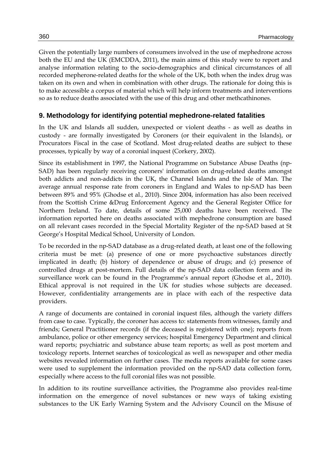Given the potentially large numbers of consumers involved in the use of mephedrone across both the EU and the UK (EMCDDA, 2011), the main aims of this study were to report and analyse information relating to the socio-demographics and clinical circumstances of all recorded mepherone-related deaths for the whole of the UK, both when the index drug was taken on its own and when in combination with other drugs. The rationale for doing this is to make accessible a corpus of material which will help inform treatments and interventions so as to reduce deaths associated with the use of this drug and other methcathinones.

## **9. Methodology for identifying potential mephedrone-related fatalities**

In the UK and Islands all sudden, unexpected or violent deaths - as well as deaths in custody - are formally investigated by Coroners (or their equivalent in the Islands), or Procurators Fiscal in the case of Scotland. Most drug-related deaths are subject to these processes, typically by way of a coronial inquest (Corkery, 2002).

Since its establishment in 1997, the National Programme on Substance Abuse Deaths (np-SAD) has been regularly receiving coroners' information on drug-related deaths amongst both addicts and non-addicts in the UK, the Channel Islands and the Isle of Man. The average annual response rate from coroners in England and Wales to np-SAD has been between 89% and 95% (Ghodse et al., 2010). Since 2004, information has also been received from the Scottish Crime &Drug Enforcement Agency and the General Register Office for Northern Ireland. To date, details of some 25,000 deaths have been received. The information reported here on deaths associated with mephedrone consumption are based on all relevant cases recorded in the Special Mortality Register of the np-SAD based at St George's Hospital Medical School, University of London.

To be recorded in the np-SAD database as a drug-related death, at least one of the following criteria must be met: (a) presence of one or more psychoactive substances directly implicated in death; (b) history of dependence or abuse of drugs; and (c) presence of controlled drugs at post-mortem. Full details of the np-SAD data collection form and its surveillance work can be found in the Programme's annual report (Ghodse et al., 2010). Ethical approval is not required in the UK for studies whose subjects are deceased. However, confidentiality arrangements are in place with each of the respective data providers.

A range of documents are contained in coronial inquest files, although the variety differs from case to case. Typically, the coroner has access to: statements from witnesses, family and friends; General Practitioner records (if the deceased is registered with one); reports from ambulance, police or other emergency services; hospital Emergency Department and clinical ward reports; psychiatric and substance abuse team reports; as well as post mortem and toxicology reports. Internet searches of toxicological as well as newspaper and other media websites revealed information on further cases. The media reports available for some cases were used to supplement the information provided on the np-SAD data collection form, especially where access to the full coronial files was not possible.

In addition to its routine surveillance activities, the Programme also provides real-time information on the emergence of novel substances or new ways of taking existing substances to the UK Early Warning System and the Advisory Council on the Misuse of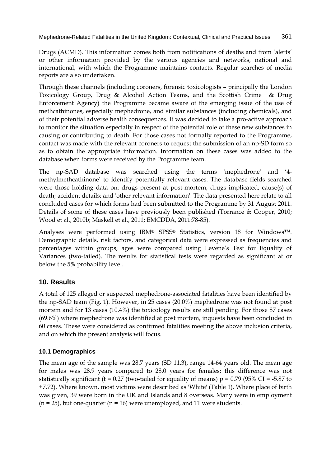Drugs (ACMD). This information comes both from notifications of deaths and from 'alerts' or other information provided by the various agencies and networks, national and international, with which the Programme maintains contacts. Regular searches of media reports are also undertaken.

Through these channels (including coroners, forensic toxicologists – principally the London Toxicology Group, Drug & Alcohol Action Teams, and the Scottish Crime & Drug Enforcement Agency) the Programme became aware of the emerging issue of the use of methcathinones, especially mephedrone, and similar substances (including chemicals), and of their potential adverse health consequences. It was decided to take a pro-active approach to monitor the situation especially in respect of the potential role of these new substances in causing or contributing to death. For those cases not formally reported to the Programme, contact was made with the relevant coroners to request the submission of an np-SD form so as to obtain the appropriate information. Information on these cases was added to the database when forms were received by the Programme team.

The np-SAD database was searched using the terms 'mephedrone' and '4 methylmethcathinone' to identify potentially relevant cases. The database fields searched were those holding data on: drugs present at post-mortem; drugs implicated; cause(s) of death; accident details; and 'other relevant information'. The data presented here relate to all concluded cases for which forms had been submitted to the Programme by 31 August 2011. Details of some of these cases have previously been published (Torrance & Cooper, 2010; Wood et al., 2010b; Maskell et al., 2011; EMCDDA, 2011:78-85).

Analyses were performed using IBM® SPSS® Statistics, version 18 for Windows™. Demographic details, risk factors, and categorical data were expressed as frequencies and percentages within groups; ages were compared using Levene's Test for Equality of Variances (two-tailed). The results for statistical tests were regarded as significant at or below the 5% probability level.

# **10. Results**

A total of 125 alleged or suspected mephedrone-associated fatalities have been identified by the np-SAD team (Fig. 1). However, in 25 cases (20.0%) mephedrone was not found at post mortem and for 13 cases (10.4%) the toxicology results are still pending. For those 87 cases (69.6%) where mephedrone was identified at post mortem, inquests have been concluded in 60 cases. These were considered as confirmed fatalities meeting the above inclusion criteria, and on which the present analysis will focus.

# **10.1 Demographics**

The mean age of the sample was 28.7 years (SD 11.3), range 14-64 years old. The mean age for males was 28.9 years compared to 28.0 years for females; this difference was not statistically significant (t = 0.27 (two-tailed for equality of means)  $p = 0.79$  (95% CI = -5.87 to +7.72). Where known, most victims were described as 'White' (Table 1). Where place of birth was given, 39 were born in the UK and Islands and 8 overseas. Many were in employment  $(n = 25)$ , but one-quarter  $(n = 16)$  were unemployed, and 11 were students.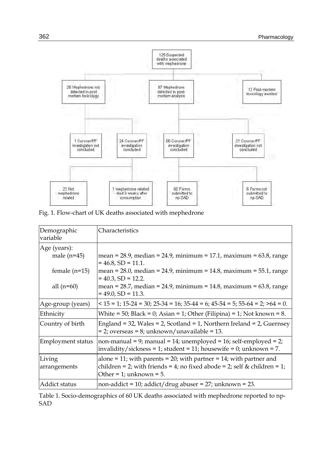

Fig. 1. Flow-chart of UK deaths associated with mephedrone

| Demographic<br>variable       | Characteristics                                                                                                                                                              |  |  |  |  |
|-------------------------------|------------------------------------------------------------------------------------------------------------------------------------------------------------------------------|--|--|--|--|
| Age (years):<br>male $(n=45)$ | mean = 28.9, median = 24.9, minimum = 17.1, maximum = 63.8, range<br>$= 46.8$ , SD = 11.1.                                                                                   |  |  |  |  |
| female $(n=15)$               | mean = $28.0$ , median = $24.9$ , minimum = $14.8$ , maximum = $55.1$ , range<br>$= 40.3$ , SD = 12.2.                                                                       |  |  |  |  |
| all $(n=60)$                  | mean = $28.7$ , median = $24.9$ , minimum = $14.8$ , maximum = $63.8$ , range<br>$= 49.0$ , SD = 11.3.                                                                       |  |  |  |  |
| Age-group (years)             | $<$ 15 = 1; 15-24 = 30; 25-34 = 16; 35-44 = 6; 45-54 = 5; 55-64 = 2; >64 = 0.                                                                                                |  |  |  |  |
| Ethnicity                     | White = 50; Black = 0; Asian = 1; Other (Filipina) = 1; Not known = 8.                                                                                                       |  |  |  |  |
| Country of birth              | England = $32$ , Wales = $2$ , Scotland = $1$ , Northern Ireland = $2$ , Guernsey<br>= 2; overseas = 8; unknown/unavailable = 13.                                            |  |  |  |  |
| Employment status             | non-manual = 9; manual = 14; unemployed = 16; self-employed = 2;<br>$invality/sickness = 1$ ; student = 11; housewife = 0; unknown = 7.                                      |  |  |  |  |
| Living<br>arrangements        | alone = 11; with parents = 20; with partner = 14; with partner and<br>children = 2; with friends = 4; no fixed abode = 2; self & children = 1;<br>Other = 1; unknown = $5$ . |  |  |  |  |
| Addict status                 | non-addict = 10; addict/drug abuser = $27$ ; unknown = $23$ .                                                                                                                |  |  |  |  |

Table 1. Socio-demographics of 60 UK deaths associated with mephedrone reported to np-SAD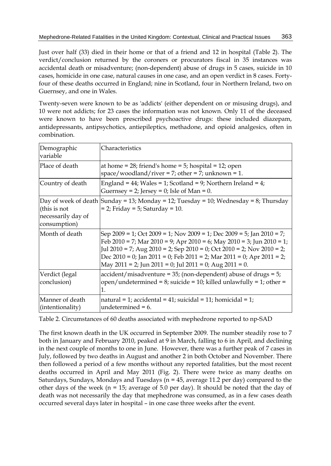Just over half (33) died in their home or that of a friend and 12 in hospital (Table 2). The verdict/conclusion returned by the coroners or procurators fiscal in 35 instances was accidental death or misadventure; (non-dependent) abuse of drugs in 5 cases, suicide in 10 cases, homicide in one case, natural causes in one case, and an open verdict in 8 cases. Fortyfour of these deaths occurred in England; nine in Scotland, four in Northern Ireland, two on Guernsey, and one in Wales.

Twenty-seven were known to be as 'addicts' (either dependent on or misusing drugs), and 10 were not addicts; for 23 cases the information was not known. Only 11 of the deceased were known to have been prescribed psychoactive drugs: these included diazepam, antidepressants, antipsychotics, antiepileptics, methadone, and opioid analgesics, often in combination.

| Demographic<br>variable                            | Characteristics                                                                                                                                                                                                                                                                                                                                                         |
|----------------------------------------------------|-------------------------------------------------------------------------------------------------------------------------------------------------------------------------------------------------------------------------------------------------------------------------------------------------------------------------------------------------------------------------|
| Place of death                                     | at home = $28$ ; friend's home = $5$ ; hospital = $12$ ; open<br>space/woodland/river = 7; other = 7; unknown = 1.                                                                                                                                                                                                                                                      |
| Country of death                                   | England = $44$ ; Wales = 1; Scotland = 9; Northern Ireland = $4$ ;<br>Guernsey = 2; Jersey = 0; Isle of Man = 0.                                                                                                                                                                                                                                                        |
| (this is not<br>necessarily day of<br>consumption) | Day of week of death Sunday = 13; Monday = 12; Tuesday = 10; Wednesday = 8; Thursday<br>$= 2$ ; Friday = 5; Saturday = 10.                                                                                                                                                                                                                                              |
| Month of death                                     | Sep 2009 = 1; Oct 2009 = 1; Nov 2009 = 1; Dec 2009 = 5; Jan 2010 = 7;<br>Feb 2010 = 7; Mar 2010 = 9; Apr 2010 = 6; May 2010 = 3; Jun 2010 = 1;<br>Jul 2010 = 7; Aug 2010 = 2; Sep 2010 = 0; Oct 2010 = 2; Nov 2010 = 2;<br>Dec 2010 = 0; Jan 2011 = 0; Feb 2011 = 2; Mar 2011 = 0; Apr 2011 = 2;<br>May $2011 = 2$ ; Jun $2011 = 0$ ; Jul $2011 = 0$ ; Aug $2011 = 0$ . |
| Verdict (legal<br>conclusion)                      | $accident/misadventure = 35$ ; (non-dependent) abuse of drugs = 5;<br>open/undetermined = 8; suicide = 10; killed unlawfully = 1; other =<br>1.                                                                                                                                                                                                                         |
| Manner of death<br>(intentionality)                | natural = 1; accidental = $41$ ; suicidal = $11$ ; homicidal = $1$ ;<br>undetermined $= 6$ .                                                                                                                                                                                                                                                                            |

Table 2. Circumstances of 60 deaths associated with mephedrone reported to np-SAD

The first known death in the UK occurred in September 2009. The number steadily rose to 7 both in January and February 2010, peaked at 9 in March, falling to 6 in April, and declining in the next couple of months to one in June. However, there was a further peak of 7 cases in July, followed by two deaths in August and another 2 in both October and November. There then followed a period of a few months without any reported fatalities, but the most recent deaths occurred in April and May 2011 (Fig. 2). There were twice as many deaths on Saturdays, Sundays, Mondays and Tuesdays ( $n = 45$ , average 11.2 per day) compared to the other days of the week ( $n = 15$ ; average of 5.0 per day). It should be noted that the day of death was not necessarily the day that mephedrone was consumed, as in a few cases death occurred several days later in hospital – in one case three weeks after the event.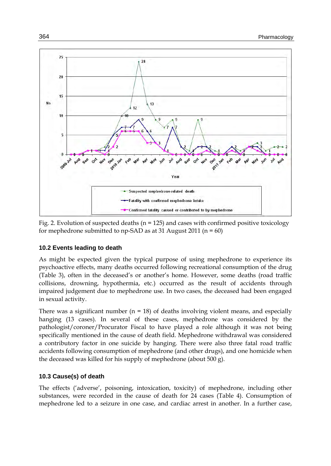

Fig. 2. Evolution of suspected deaths ( $n = 125$ ) and cases with confirmed positive toxicology for mephedrone submitted to np-SAD as at 31 August 2011 ( $n = 60$ )

#### **10.2 Events leading to death**

As might be expected given the typical purpose of using mephedrone to experience its psychoactive effects, many deaths occurred following recreational consumption of the drug (Table 3), often in the deceased's or another's home. However, some deaths (road traffic collisions, drowning, hypothermia, etc.) occurred as the result of accidents through impaired judgement due to mephedrone use. In two cases, the deceased had been engaged in sexual activity.

There was a significant number ( $n = 18$ ) of deaths involving violent means, and especially hanging (13 cases). In several of these cases, mephedrone was considered by the pathologist/coroner/Procurator Fiscal to have played a role although it was not being specifically mentioned in the cause of death field. Mephedrone withdrawal was considered a contributory factor in one suicide by hanging. There were also three fatal road traffic accidents following consumption of mephedrone (and other drugs), and one homicide when the deceased was killed for his supply of mephedrone (about 500 g).

#### **10.3 Cause(s) of death**

The effects ('adverse', poisoning, intoxication, toxicity) of mephedrone, including other substances, were recorded in the cause of death for 24 cases (Table 4). Consumption of mephedrone led to a seizure in one case, and cardiac arrest in another. In a further case,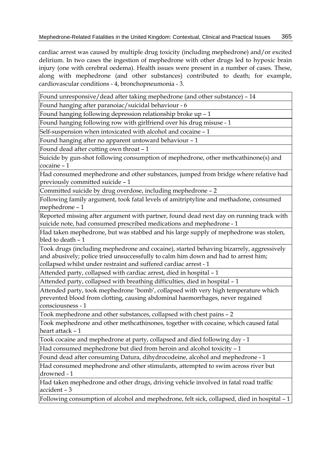cardiac arrest was caused by multiple drug toxicity (including mephedrone) and/or excited delirium. In two cases the ingestion of mephedrone with other drugs led to hypoxic brain injury (one with cerebral oedema). Health issues were present in a number of cases. These, along with mephedrone (and other substances) contributed to death; for example, cardiovascular conditions - 4, bronchopneumonia - 3.

Found unresponsive/dead after taking mephedrone (and other substance) – 14

Found hanging after paranoiac/suicidal behaviour - 6

Found hanging following depression relationship broke up – 1

Found hanging following row with girlfriend over his drug misuse - 1

Self-suspension when intoxicated with alcohol and cocaine – 1

Found hanging after no apparent untoward behaviour – 1

Found dead after cutting own throat – 1

Suicide by gun-shot following consumption of mephedrone, other methcathinone(s) and cocaine – 1

Had consumed mephedrone and other substances, jumped from bridge where relative had previously committed suicide – 1

Committed suicide by drug overdose, including mephedrone – 2

Following family argument, took fatal levels of amitriptyline and methadone, consumed mephedrone – 1

Reported missing after argument with partner, found dead next day on running track with suicide note, had consumed prescribed medications and mephedrone - 1

Had taken mephedrone, but was stabbed and his large supply of mephedrone was stolen, bled to death – 1

Took drugs (including mephedrone and cocaine), started behaving bizarrely, aggressively and abusively; police tried unsuccessfully to calm him down and had to arrest him; collapsed whilst under restraint and suffered cardiac arrest - 1

Attended party, collapsed with cardiac arrest, died in hospital – 1

Attended party, collapsed with breathing difficulties, died in hospital – 1

Attended party, took mephedrone 'bomb', collapsed with very high temperature which prevented blood from clotting, causing abdominal haemorrhages, never regained consciousness - 1

Took mephedrone and other substances, collapsed with chest pains – 2

Took mephedrone and other methcathinones, together with cocaine, which caused fatal heart attack – 1

Took cocaine and mephedrone at party, collapsed and died following day - 1

Had consumed mephedrone but died from heroin and alcohol toxicity – 1

Found dead after consuming Datura, dihydrocodeine, alcohol and mephedrone - 1

Had consumed mephedrone and other stimulants, attempted to swim across river but drowned - 1

Had taken mephedrone and other drugs, driving vehicle involved in fatal road traffic accident – 3

Following consumption of alcohol and mephedrone, felt sick, collapsed, died in hospital – 1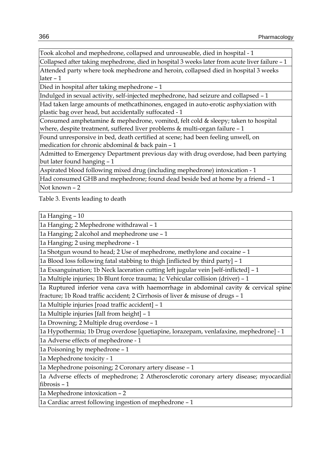Took alcohol and mephedrone, collapsed and unrouseable, died in hospital - 1 Collapsed after taking mephedrone, died in hospital 3 weeks later from acute liver failure – 1 Attended party where took mephedrone and heroin, collapsed died in hospital 3 weeks later – 1

Died in hospital after taking mephedrone – 1

Indulged in sexual activity, self-injected mephedrone, had seizure and collapsed – 1

Had taken large amounts of methcathinones, engaged in auto-erotic asphyxiation with plastic bag over head, but accidentally suffocated - 1

Consumed amphetamine & mephedrone, vomited, felt cold & sleepy; taken to hospital where, despite treatment, suffered liver problems & multi-organ failure - 1

Found unresponsive in bed, death certified at scene; had been feeling unwell, on medication for chronic abdominal & back pain – 1

Admitted to Emergency Department previous day with drug overdose, had been partying but later found hanging – 1

Aspirated blood following mixed drug (including mephedrone) intoxication - 1

Had consumed GHB and mephedrone; found dead beside bed at home by a friend – 1

Not known – 2

Table 3. Events leading to death

1a Hanging – 10

1a Hanging; 2 Mephedrone withdrawal – 1

1a Hanging; 2 alcohol and mephedrone use – 1

1a Hanging; 2 using mephedrone - 1

1a Shotgun wound to head; 2 Use of mephedrone, methylone and cocaine – 1

1a Blood loss following fatal stabbing to thigh [inflicted by third party] – 1

1a Exsanguination; 1b Neck laceration cutting left jugular vein [self-inflicted] – 1

1a Multiple injuries; 1b Blunt force trauma; 1c Vehicular collision (driver) – 1

1a Ruptured inferior vena cava with haemorrhage in abdominal cavity & cervical spine fracture; 1b Road traffic accident; 2 Cirrhosis of liver & misuse of drugs – 1

1a Multiple injuries [road traffic accident] – 1

1a Multiple injuries [fall from height] – 1

1a Drowning; 2 Multiple drug overdose – 1

1a Hypothermia; 1b Drug overdose [quetiapine, lorazepam, venlafaxine, mephedrone] - 1

1a Adverse effects of mephedrone - 1

1a Poisoning by mephedrone – 1

1a Mephedrone toxicity - 1

1a Mephedrone poisoning; 2 Coronary artery disease – 1

1a Adverse effects of mephedrone; 2 Atherosclerotic coronary artery disease; myocardial fibrosis – 1

1a Mephedrone intoxication – 2

1a Cardiac arrest following ingestion of mephedrone – 1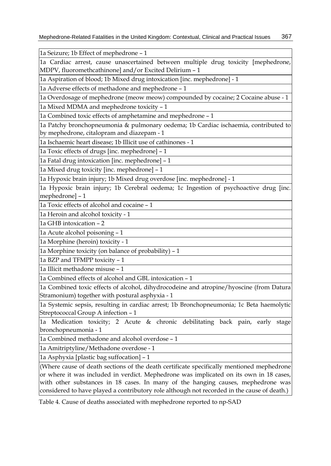1a Seizure; 1b Effect of mephedrone – 1

1a Cardiac arrest, cause unascertained between multiple drug toxicity [mephedrone, MDPV, fluoromethcathinone] and/or Excited Delirium – 1

1a Aspiration of blood; 1b Mixed drug intoxication [inc. mephedrone] - 1

1a Adverse effects of methadone and mephedrone – 1

1a Overdosage of mephedrone (meow meow) compounded by cocaine; 2 Cocaine abuse - 1

1a Mixed MDMA and mephedrone toxicity – 1

1a Combined toxic effects of amphetamine and mephedrone – 1

1a Patchy bronchopneumonia & pulmonary oedema; 1b Cardiac ischaemia, contributed to by mephedrone, citalopram and diazepam - 1

1a Ischaemic heart disease; 1b Illicit use of cathinones - 1

1a Toxic effects of drugs [inc. mephedrone] – 1

1a Fatal drug intoxication [inc. mephedrone] – 1

1a Mixed drug toxicity [inc. mephedrone] – 1

1a Hypoxic brain injury; 1b Mixed drug overdose [inc. mephedrone] - 1

1a Hypoxic brain injury; 1b Cerebral oedema; 1c Ingestion of psychoactive drug [inc. mephedrone] – 1

1a Toxic effects of alcohol and cocaine – 1

1a Heroin and alcohol toxicity - 1

1a GHB intoxication – 2

1a Acute alcohol poisoning – 1

1a Morphine (heroin) toxicity - 1

1a Morphine toxicity (on balance of probability) – 1

1a BZP and TFMPP toxicity – 1

1a Illicit methadone misuse – 1

1a Combined effects of alcohol and GBL intoxication – 1

1a Combined toxic effects of alcohol, dihydrocodeine and atropine/hyoscine (from Datura Stramonium) together with postural asphyxia - 1

1a Systemic sepsis, resulting in cardiac arrest; 1b Bronchopneumonia; 1c Beta haemolytic Streptococcal Group A infection – 1

1a Medication toxicity; 2 Acute & chronic debilitating back pain, early stage bronchopneumonia - 1

1a Combined methadone and alcohol overdose – 1

1a Amitriptyline/Methadone overdose - 1

1a Asphyxia [plastic bag suffocation] – 1

(Where cause of death sections of the death certificate specifically mentioned mephedrone or where it was included in verdict. Mephedrone was implicated on its own in 18 cases, with other substances in 18 cases. In many of the hanging causes, mephedrone was considered to have played a contributory role although not recorded in the cause of death.)

Table 4. Cause of deaths associated with mephedrone reported to np-SAD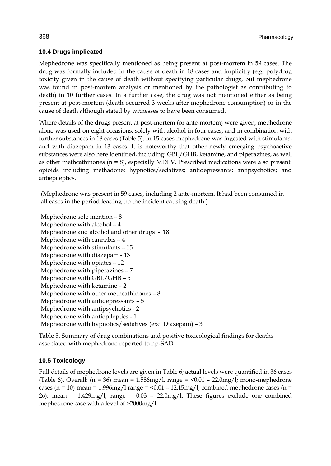#### **10.4 Drugs implicated**

Mephedrone was specifically mentioned as being present at post-mortem in 59 cases. The drug was formally included in the cause of death in 18 cases and implicitly (e.g. polydrug toxicity given in the cause of death without specifying particular drugs, but mephedrone was found in post-mortem analysis or mentioned by the pathologist as contributing to death) in 10 further cases. In a further case, the drug was not mentioned either as being present at post-mortem (death occurred 3 weeks after mephedrone consumption) or in the cause of death although stated by witnesses to have been consumed.

Where details of the drugs present at post-mortem (or ante-mortem) were given, mephedrone alone was used on eight occasions, solely with alcohol in four cases, and in combination with further substances in 18 cases (Table 5). In 15 cases mephedrone was ingested with stimulants, and with diazepam in 13 cases. It is noteworthy that other newly emerging psychoactive substances were also here identified, including: GBL/GHB, ketamine, and piperazines, as well as other methcathinones  $(n = 8)$ , especially MDPV. Prescribed medications were also present: opioids including methadone; hypnotics/sedatives; antidepressants; antipsychotics; and antiepileptics.

(Mephedrone was present in 59 cases, including 2 ante-mortem. It had been consumed in all cases in the period leading up the incident causing death.)

Mephedrone sole mention – 8 Mephedrone with alcohol – 4 Mephedrone and alcohol and other drugs - 18 Mephedrone with cannabis – 4 Mephedrone with stimulants – 15 Mephedrone with diazepam - 13 Mephedrone with opiates – 12 Mephedrone with piperazines – 7 Mephedrone with GBL/GHB – 5 Mephedrone with ketamine – 2 Mephedrone with other methcathinones – 8 Mephedrone with antidepressants – 5 Mephedrone with antipsychotics - 2 Mephedrone with antiepileptics - 1 Mephedrone with hypnotics/sedatives (exc. Diazepam) – 3

Table 5. Summary of drug combinations and positive toxicological findings for deaths associated with mephedrone reported to np-SAD

## **10.5 Toxicology**

Full details of mephedrone levels are given in Table 6; actual levels were quantified in 36 cases (Table 6). Overall:  $(n = 36)$  mean = 1.586mg/l, range =  $\leq 0.01 - 22.0$ mg/l; mono-mephedrone cases (n = 10) mean =  $1.996$ mg/l range =  $\leq 0.01 - 12.15$ mg/l; combined mephedrone cases (n = 26): mean =  $1.429mg/l$ ; range =  $0.03 - 22.0mg/l$ . These figures exclude one combined mephedrone case with a level of >2000mg/l.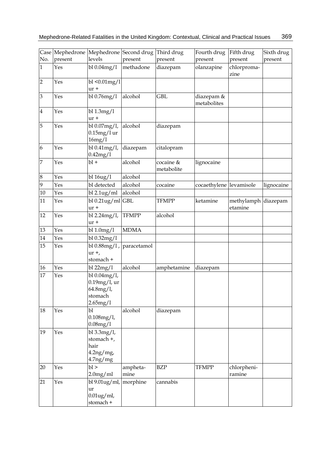|                         |         | Case Mephedrone Mephedrone Second drug                           |                  | Third drug              | Fourth drug               | Fifth drug                     | Sixth drug |
|-------------------------|---------|------------------------------------------------------------------|------------------|-------------------------|---------------------------|--------------------------------|------------|
| No.                     | present | levels                                                           | present          | present                 | present                   | present                        | present    |
| $\mathbf{1}$            | Yes     | bl 0.04mg/1                                                      | methadone        | diazepam                | olanzapine                | chlorproma-<br>zine            |            |
| $\overline{2}$          | Yes     | bl < 0.01mg/l<br>ur +                                            |                  |                         |                           |                                |            |
| 3                       | Yes     | $bl$ 0.76mg/1                                                    | alcohol          | <b>GBL</b>              | diazepam &<br>metabolites |                                |            |
| $\overline{\mathbf{4}}$ | Yes     | bl 1.3mg/1<br>ur +                                               |                  |                         |                           |                                |            |
| 5                       | Yes     | bl 0.07mg/l,<br>$0.15$ mg/ $1$ ur<br>16mg/1                      | alcohol          | diazepam                |                           |                                |            |
| 6                       | Yes     | bl 0.41mg/l,<br>0.42mg/1                                         | diazepam         | citalopram              |                           |                                |            |
| 7                       | Yes     | $bl +$                                                           | alcohol          | cocaine &<br>metabolite | lignocaine                |                                |            |
| 8                       | Yes     | bl 16ug/1                                                        | alcohol          |                         |                           |                                |            |
| 9                       | Yes     | bl detected                                                      | alcohol          | cocaine                 | cocaethylene  levamisole  |                                | lignocaine |
| $10\,$                  | Yes     | $bl$ 2.1 $ug/ml$                                                 | alcohol          |                         |                           |                                |            |
| 11                      | Yes     | bl 0.21ug/ml<br>ur +                                             | <b>GBL</b>       | TFMPP                   | ketamine                  | methylamph diazepam<br>etamine |            |
| 12                      | Yes     | bl 2.24mg/l,<br>ur +                                             | <b>TFMPP</b>     | alcohol                 |                           |                                |            |
| 13                      | Yes     | bl 1.0mg/1                                                       | <b>MDMA</b>      |                         |                           |                                |            |
| 14                      | Yes     | bl 0.32mg/1                                                      |                  |                         |                           |                                |            |
| 15                      | Yes     | $bl$ 0.88 $mg/l$ ,<br>$ur +$ ,<br>stomach +                      | paracetamol      |                         |                           |                                |            |
| 16                      | Yes     | bl 22mg/1                                                        | alcohol          | amphetamine             | diazepam                  |                                |            |
| 17                      | Yes     | bl 0.04mg/1,<br>0.19mg/l, ur<br>64.8mg/l,<br>stomach<br>2.65mg/1 |                  |                         |                           |                                |            |
| 18                      | Yes     | bl<br>$0.108mg/l$ ,<br>$0.08$ mg/l                               | alcohol          | diazepam                |                           |                                |            |
| 19                      | Yes     | bl 3.3mg/1,<br>stomach +,<br>hair<br>$4.2$ ng/mg,<br>4.7ng/mg    |                  |                         |                           |                                |            |
| 20                      | Yes     | bl ><br>$2.0$ mg/ml                                              | ampheta-<br>mine | <b>BZP</b>              | TFMPP                     | chlorpheni-<br>ramine          |            |
| 21                      | Yes     | bl 9.01ug/ml,<br>ur<br>$0.01$ ug/ml,<br>stomach +                | morphine         | cannabis                |                           |                                |            |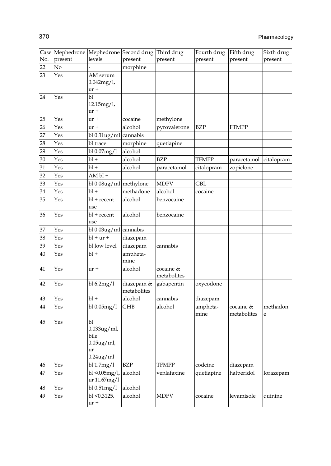|     |         | Case Mephedrone Mephedrone Second drug                        |                           | Third drug               | Fourth drug      | Fifth drug               | Sixth drug    |
|-----|---------|---------------------------------------------------------------|---------------------------|--------------------------|------------------|--------------------------|---------------|
| No. | present | levels                                                        | present                   | present                  | present          | present                  | present       |
| 22  | No      |                                                               | morphine                  |                          |                  |                          |               |
| 23  | Yes     | AM serum<br>0.042mg/l,<br>ur +                                |                           |                          |                  |                          |               |
| 24  | Yes     | bl<br>12.15mg/l,<br>ur +                                      |                           |                          |                  |                          |               |
| 25  | Yes     | ur +                                                          | cocaine                   | methylone                |                  |                          |               |
| 26  | Yes     | ur +                                                          | alcohol                   | pyrovalerone             | BZP              | <b>FTMPP</b>             |               |
| 27  | Yes     | $bl$ 0.31ug/ml cannabis                                       |                           |                          |                  |                          |               |
| 28  | Yes     | bl trace                                                      | morphine                  | quetiapine               |                  |                          |               |
| 29  | Yes     | bl 0.07mg/1                                                   | alcohol                   |                          |                  |                          |               |
| 30  | Yes     | bl +                                                          | alcohol                   | BZP                      | TFMPP            | paracetamol              | citalopram    |
| 31  | Yes     | $bl +$                                                        | alcohol                   | paracetamol              | citalopram       | zopiclone                |               |
| 32  | Yes     | $AMbl +$                                                      |                           |                          |                  |                          |               |
| 33  | Yes     | bl 0.08ug/ml methylone                                        |                           | MDPV                     | GBL              |                          |               |
| 34  | Yes     | bl +                                                          | methadone                 | alcohol                  | cocaine          |                          |               |
| 35  | Yes     | bl + recent<br>use                                            | alcohol                   | benzocaine               |                  |                          |               |
| 36  | Yes     | bl + recent<br>use                                            | alcohol                   | benzocaine               |                  |                          |               |
| 37  | Yes     | bl 0.03ug/ml cannabis                                         |                           |                          |                  |                          |               |
| 38  | Yes     | bl + ur +                                                     | diazepam                  |                          |                  |                          |               |
| 39  | Yes     | bl low level                                                  | diazepam                  | cannabis                 |                  |                          |               |
| 40  | Yes     | bl +                                                          | ampheta-<br>mine          |                          |                  |                          |               |
| 41  | Yes     | ur +                                                          | alcohol                   | cocaine &<br>metabolites |                  |                          |               |
| 42  | Yes     | $bl$ 6.2mg/1                                                  | diazepam &<br>metabolites | gabapentin               | oxycodone        |                          |               |
| 43  | Yes     | bl +                                                          | alcohol                   | cannabis                 | diazepam         |                          |               |
| 44  | Yes     | bl 0.05mg/1                                                   | GHB                       | alcohol                  | ampheta-<br>mine | cocaine &<br>metabolites | methadon<br>e |
| 45  | Yes     | bl<br>0.033ug/ml,<br>bile<br>0.05ug/ml,<br>ur<br>$0.24$ ug/ml |                           |                          |                  |                          |               |
| 46  | Yes     | $bl$ 1.7 $mg/l$                                               | BZP                       | TFMPP                    | codeine          | diazepam                 |               |
| 47  | Yes     | bl <0.05mg/l,<br>ur 11.67mg/1                                 | alcohol                   | venlafaxine              | quetiapine       | halperidol               | lorazepam     |
| 48  | Yes     | bl 0.51mg/1                                                   | alcohol                   |                          |                  |                          |               |
| 49  | Yes     | bl <0.3125,<br>ur +                                           | alcohol                   | MDPV                     | cocaine          | levamisole               | quinine       |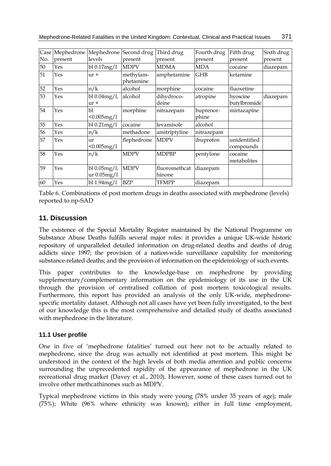|     | Case Mephedrone Mephedrone |                                   | Second drug            | Third drug              | Fourth drug        | Fifth drug                | Sixth drug |
|-----|----------------------------|-----------------------------------|------------------------|-------------------------|--------------------|---------------------------|------------|
| No. | present                    | levels                            | present                | present                 | present            | present                   | present    |
| 50  | Yes                        | $bl$ 0.17 $mg/l$                  | <b>MDPV</b>            | <b>MDMA</b>             | <b>MDA</b>         | cocaine                   | diazepam   |
| 51  | Yes                        | $ur +$                            | methylam-<br>phetamine | amphetamine             | GHB                | ketamine                  |            |
| 52  | Yes                        | n/k                               | alcohol                | morphine                | cocaine            | fluoxetine                |            |
| 53  | Yes                        | $bl$ 0.04 $mg/l$ ,                | alcohol                | dihydroco-              | atropine           | hyoscine                  | diazepam   |
|     |                            | $ur +$                            |                        | deine                   |                    | butylbromide              |            |
| 54  | Yes                        | ы<br>< 0.005 mg/l                 | morphine               | nitrazepam              | buprenor-<br>phine | mirtazapine               |            |
| 55  | Yes                        | $bl$ 0.21 $mg/l$                  | cocaine                | levamisole              | alcohol            |                           |            |
| 56  | Yes                        | n/k                               | methadone              | amitriptyline           | nitrazepam         |                           |            |
| 57  | Yes                        | 11r<br>< 0.005 mg/l               | flephedrone            | <b>MDPV</b>             | ibuprofen          | unidentified<br>compounds |            |
| 58  | Yes                        | n/k                               | <b>MDPV</b>            | <b>MDPBP</b>            | pentylone          | cocaine<br>metabolites    |            |
| 59  | Yes                        | $bl$ 0.05 $mg/l$ ,<br>ur 0.05mg/1 | <b>MDPV</b>            | fluoromethcat<br>hinone | diazepam           |                           |            |
| 60  | Yes                        | bl 1.94mg/1                       | <b>BZP</b>             | TFMPP                   | diazepam           |                           |            |

Table 6. Combinations of post mortem drugs in deaths associated with mephedrone (levels) reported to np-SAD

# **11. Discussion**

The existence of the Special Mortality Register maintained by the National Programme on Substance Abuse Deaths fulfills several major roles: it provides a unique UK-wide historic repository of unparalleled detailed information on drug-related deaths and deaths of drug addicts since 1997; the provision of a nation-wide surveillance capability for monitoring substance-related deaths; and the provision of information on the epidemiology of such events.

This paper contributes to the knowledge-base on mephedrone by providing supplementary/complementary information on the epidemiology of its use in the UK through the provision of centralised collation of post mortem toxicological results. Furthermore, this report has provided an analysis of the only UK-wide, mephedronespecific mortality dataset. Although not all cases have yet been fully investigated, to the best of our knowledge this is the most comprehensive and detailed study of deaths associated with mephedrone in the literature.

## **11.1 User profile**

One in five of 'mephedrone fatalities' turned out here not to be actually related to mephedrone, since the drug was actually not identified at post mortem. This might be understood in the context of the high levels of both media attention and public concerns surrounding the unprecedented rapidity of the appearance of mephedrone in the UK recreational drug market (Davey et al., 2010). However, some of these cases turned out to involve other methcathinones such as MDPV.

Typical mephedrone victims in this study were young (78% under 35 years of age); male (75%); White (96% where ethnicity was known); either in full time employment,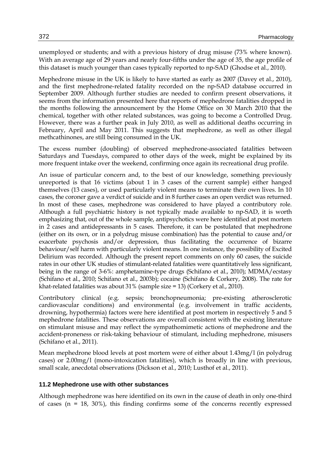unemployed or students; and with a previous history of drug misuse (73% where known). With an average age of 29 years and nearly four-fifths under the age of 35, the age profile of this dataset is much younger than cases typically reported to np-SAD (Ghodse et al., 2010).

Mephedrone misuse in the UK is likely to have started as early as 2007 (Davey et al., 2010), and the first mephedrone-related fatality recorded on the np-SAD database occurred in September 2009. Although further studies are needed to confirm present observations, it seems from the information presented here that reports of mephedrone fatalities dropped in the months following the announcement by the Home Office on 30 March 2010 that the chemical, together with other related substances, was going to become a Controlled Drug. However, there was a further peak in July 2010, as well as additional deaths occurring in February, April and May 2011. This suggests that mephedrone, as well as other illegal methcathinones, are still being consumed in the UK.

The excess number (doubling) of observed mephedrone-associated fatalities between Saturdays and Tuesdays, compared to other days of the week, might be explained by its more frequent intake over the weekend, confirming once again its recreational drug profile.

An issue of particular concern and, to the best of our knowledge, something previously unreported is that 16 victims (about 1 in 3 cases of the current sample) either hanged themselves (13 cases), or used particularly violent means to terminate their own lives. In 10 cases, the coroner gave a verdict of suicide and in 8 further cases an open verdict was returned. In most of these cases, mephedrone was considered to have played a contributory role. Although a full psychiatric history is not typically made available to np-SAD, it is worth emphasizing that, out of the whole sample, antipsychotics were here identified at post mortem in 2 cases and antidepressants in 5 cases. Therefore, it can be postulated that mephedrone (either on its own, or in a polydrug misuse combination) has the potential to cause and/or exacerbate psychosis and/or depression, thus facilitating the occurrence of bizarre behaviour/self harm with particularly violent means. In one instance, the possibility of Excited Delirium was recorded. Although the present report comments on only 60 cases, the suicide rates in our other UK studies of stimulant-related fatalities were quantitatively less significant, being in the range of 3-6%: amphetamine-type drugs (Schifano et al., 2010); MDMA/ecstasy (Schifano et al., 2010; Schifano et al., 2003b); cocaine (Schifano & Corkery, 2008). The rate for khat-related fatalities was about 31% (sample size = 13) (Corkery et al., 2010).

Contributory clinical (e.g. sepsis; bronchopneumonia; pre-existing atherosclerotic cardiovascular conditions) and environmental (e.g. involvement in traffic accidents, drowning, hypothermia) factors were here identified at post mortem in respectively 5 and 5 mephedrone fatalities. These observations are overall consistent with the existing literature on stimulant misuse and may reflect the sympathomimetic actions of mephedrone and the accident-proneness or risk-taking behaviour of stimulant, including mephedrone, misusers (Schifano et al., 2011).

Mean mephedrone blood levels at post mortem were of either about 1.43mg/l (in polydrug cases) or 2.00mg/l (mono-intoxication fatalities), which is broadly in line with previous, small scale, anecdotal observations (Dickson et al., 2010; Lusthof et al., 2011).

#### **11.2 Mephedrone use with other substances**

Although mephedrone was here identified on its own in the cause of death in only one-third of cases ( $n = 18$ ,  $30\%$ ), this finding confirms some of the concerns recently expressed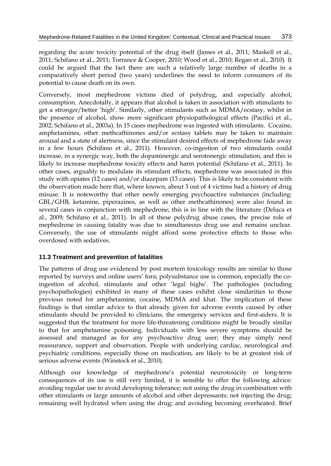regarding the acute toxicity potential of the drug itself (James et al., 2011; Maskell et al., 2011; Schifano et al., 2011; Torrance & Cooper, 2010; Wood et al., 2010; Regan et al., 2010). It could be argued that the fact there are such a relatively large number of deaths in a comparatively short period (two years) underlines the need to inform consumers of its potential to cause death on its own.

Conversely, most mephedrone victims died of polydrug, and especially alcohol, consumption. Anecdotally, it appears that alcohol is taken in association with stimulants to get a stronger/better 'high'. Similarly, other stimulants such as MDMA/ecstasy, whilst in the presence of alcohol, show more significant physiopathological effects (Pacifici et al., 2002; Schifano et al., 2003a). In 15 cases mephedrone was ingested with stimulants. Cocaine, amphetamines, other methcathinones and/or ecstasy tablets may be taken to maintain arousal and a state of alertness, since the stimulant desired effects of mephedrone fade away in a few hours (Schifano et al., 2011). However, co-ingestion of two stimulants could increase, in a synergic way, both the dopaminergic and serotonergic stimulation, and this is likely to increase mephedrone toxicity effects and harm potential (Schifano et al., 2011). In other cases, arguably to modulate its stimulant effects, mephedrone was associated in this study with opiates (12 cases) and/or diazepam (13 cases). This is likely to be consistent with the observation made here that, where known, about 3 out of 4 victims had a history of drug misuse. It is noteworthy that other newly emerging psychoactive substances (including: GBL/GHB, ketamine, piperazines, as well as other methcathinones) were also found in several cases in conjunction with mephedrone; this is in line with the literature (Deluca et al., 2009; Schifano et al., 2011). In all of these polydrug abuse cases, the precise role of mephedrone in causing fatality was due to simultaneous drug use and remains unclear. Conversely, the use of stimulants might afford some protective effects to those who overdosed with sedatives.

## **11.3 Treatment and prevention of fatalities**

The patterns of drug use evidenced by post mortem toxicology results are similar to those reported by surveys and online users' fora; polysubstance use is common, especially the coingestion of alcohol, stimulants and other 'legal highs'. The pathologies (including psychopathologies) exhibited in many of these cases exhibit close similarities to those previous noted for amphetamine, cocaine, MDMA and khat. The implication of these findings is that similar advice to that already given for adverse events caused by other stimulants should be provided to clinicians, the emergency services and first-aiders. It is suggested that the treatment for more life-threatening conditions might be broadly similar to that for amphetamine poisoning. Individuals with less severe symptoms should be assessed and managed as for any psychoactive drug user; they may simply need reassurance, support and observation. People with underlying cardiac, neurological and psychiatric conditions, especially those on medication, are likely to be at greatest risk of serious adverse events (Winstock et al., 2010).

Although our knowledge of mephedrone's potential neurotoxicity or long-term consequences of its use is still very limited, it is sensible to offer the following advice: avoiding regular use to avoid developing tolerance; not using the drug in combination with other stimulants or large amounts of alcohol and other depressants; not injecting the drug; remaining well hydrated when using the drug; and avoiding becoming overheated. Brief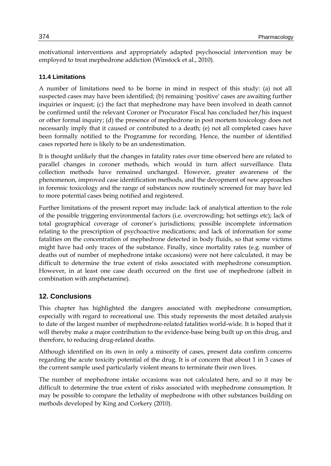motivational interventions and appropriately adapted psychosocial intervention may be employed to treat mephedrone addiction (Winstock et al., 2010).

#### **11.4 Limitations**

A number of limitations need to be borne in mind in respect of this study: (a) not all suspected cases may have been identified; (b) remaining 'positive' cases are awaiting further inquiries or inquest; (c) the fact that mephedrone may have been involved in death cannot be confirmed until the relevant Coroner or Procurator Fiscal has concluded her/his inquest or other formal inquiry; (d) the presence of mephedrone in post mortem toxicology does not necessarily imply that it caused or contributed to a death; (e) not all completed cases have been formally notified to the Programme for recording. Hence, the number of identified cases reported here is likely to be an underestimation.

It is thought unlikely that the changes in fatality rates over time observed here are related to parallel changes in coroner methods, which would in turn affect surveillance. Data collection methods have remained unchanged. However, greater awareness of the phenomenon, improved case identification methods, and the devopment of new approaches in forensic toxicology and the range of substances now routinely screened for may have led to more potential cases being notified and registered.

Further limitations of the present report may include: lack of analytical attention to the role of the possible triggering environmental factors (i.e. overcrowding; hot settings etc); lack of total geographical coverage of coroner's jurisdictions; possible incomplete information relating to the prescription of psychoactive medications; and lack of information for some fatalities on the concentration of mephedrone detected in body fluids, so that some victims might have had only traces of the substance. Finally, since mortality rates (e.g. number of deaths out of number of mephedrone intake occasions) were not here calculated, it may be difficult to determine the true extent of risks associated with mephedrone consumption. However, in at least one case death occurred on the first use of mephedrone (albeit in combination with amphetamine).

#### **12. Conclusions**

This chapter has highlighted the dangers associated with mephedrone consumption, especially with regard to recreational use. This study represents the most detailed analysis to date of the largest number of mephedrone-related fatalities world-wide. It is hoped that it will thereby make a major contribution to the evidence-base being built up on this drug, and therefore, to reducing drug-related deaths.

Although identified on its own in only a minority of cases, present data confirm concerns regarding the acute toxicity potential of the drug. It is of concern that about 1 in 3 cases of the current sample used particularly violent means to terminate their own lives.

The number of mephedrone intake occasions was not calculated here, and so it may be difficult to determine the true extent of risks associated with mephedrone consumption. It may be possible to compare the lethality of mephedrone with other substances building on methods developed by King and Corkery (2010).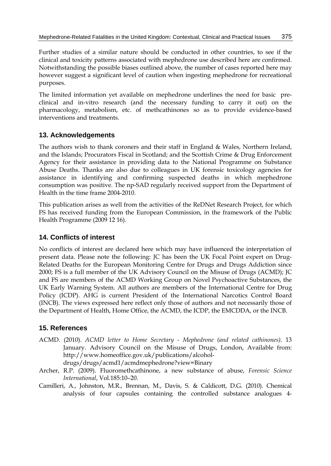Further studies of a similar nature should be conducted in other countries, to see if the clinical and toxicity patterns associated with mephedrone use described here are confirmed. Notwithstanding the possible biases outlined above, the number of cases reported here may however suggest a significant level of caution when ingesting mephedrone for recreational purposes.

The limited information yet available on mephedrone underlines the need for basic preclinical and in-vitro research (and the necessary funding to carry it out) on the pharmacology, metabolism, etc. of methcathinones so as to provide evidence-based interventions and treatments.

# **13. Acknowledgements**

The authors wish to thank coroners and their staff in England & Wales, Northern Ireland, and the Islands; Procurators Fiscal in Scotland; and the Scottish Crime & Drug Enforcement Agency for their assistance in providing data to the National Programme on Substance Abuse Deaths. Thanks are also due to colleagues in UK forensic toxicology agencies for assistance in identifying and confirming suspected deaths in which mephedrone consumption was positive. The np-SAD regularly received support from the Department of Health in the time frame 2004-2010.

This publication arises as well from the activities of the ReDNet Research Project, for which FS has received funding from the European Commission, in the framework of the Public Health Programme (2009 12 16).

# **14. Conflicts of interest**

No conflicts of interest are declared here which may have influenced the interpretation of present data. Please note the following: JC has been the UK Focal Point expert on Drug-Related Deaths for the European Monitoring Centre for Drugs and Drugs Addiction since 2000; FS is a full member of the UK Advisory Council on the Misuse of Drugs (ACMD); JC and FS are members of the ACMD Working Group on Novel Psychoactive Substances, the UK Early Warning System. All authors are members of the International Centre for Drug Policy (ICDP). AHG is current President of the International Narcotics Control Board (INCB). The views expressed here reflect only those of authors and not necessarily those of the Department of Health, Home Office, the ACMD, the ICDP, the EMCDDA, or the INCB.

# **15. References**

ACMD. (2010). *ACMD letter to Home Secretary - Mephedrone (and related cathinones)*. 13 January. Advisory Council on the Misuse of Drugs, London, Available from: http://www.homeoffice.gov.uk/publications/alcohol-

drugs/drugs/acmd1/acmdmephedrone?view=Binary

- Archer, R.P. (2009). Fluoromethcathinone, a new substance of abuse, *Forensic Science International*, Vol.185:10–20.
- Camilleri, A., Johnston, M.R., Brennan, M., Davis, S. & Caldicott, D.G. (2010). Chemical analysis of four capsules containing the controlled substance analogues 4-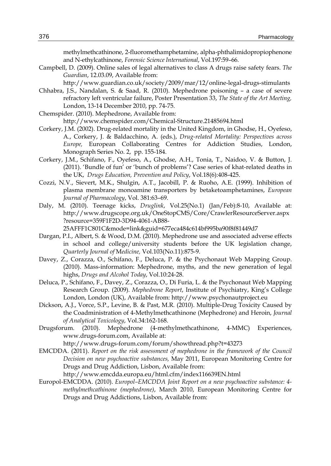methylmethcathinone, 2-fluoromethamphetamine, alpha-phthalimidopropiophenone and N-ethylcathinone, *Forensic Science International*, Vol.197:59–66.

Campbell, D. (2009). Online sales of legal alternatives to class A drugs raise safety fears. *The Guardian*, 12.03.09, Available from:

http://www.guardian.co.uk/society/2009/mar/12/online-legal-drugs-stimulants

- Chhabra, J.S., Nandalan, S. & Saad, R. (2010). Mephedrone poisoning a case of severe refractory left ventricular failure, Poster Presentation 33, *The State of the Art Meeting,* London, 13-14 December 2010, pp. 74-75.
- Chemspider. (2010). Mephedrone, Available from: http://www.chemspider.com/Chemical-Structure.21485694.html
- Corkery, J.M. (2002). Drug-related mortality in the United Kingdom, in Ghodse, H., Oyefeso, A., Corkery, J. & Baldacchino, A. (eds.), *Drug-related Mortality: Perspectives across Europe,* European Collaborating Centres for Addiction Studies, London, Monograph Series No. 2, pp. 155-184.
- Corkery, J.M., Schifano, F., Oyefeso, A., Ghodse, A.H., Tonia, T., Naidoo, V. & Button, J. (2011). 'Bundle of fun' or 'bunch of problems'? Case series of khat-related deaths in the UK, *Drugs Education, Prevention and Policy*, Vol.18(6):408-425.
- Cozzi, N.V., Sievert, M.K., Shulgin, A.T., Jacobill, P. & Ruoho, A.E. (1999). Inhibition of plasma membrane monoamine transporters by betaketoamphetamines, *European Journal of Pharmacology*, Vol. 381:63–69.
- Daly, M. (2010). Teenage kicks, *Druglink*, Vol.25(No.1) (Jan/Feb):8-10, Available at: http://www.drugscope.org.uk/OneStopCMS/Core/CrawlerResourceServer.aspx ?resource=359F1F2D-3D94-4061-AB88- 25AFFF1C801C&mode=link&guid=677eca484c614bf995ba90f8f81449d7
- Dargan, P.I., Albert, S. & Wood, D.M. (2010). Mephedrone use and associated adverse effects in school and college/university students before the UK legislation change, *Quarterly Journal of* M*edicine,* Vol.103(No.11):875-9.
- Davey, Z., Corazza, O., Schifano, F., Deluca, P. & the Psychonaut Web Mapping Group. (2010). Mass-information: Mephedrone, myths, and the new generation of legal highs, *Drugs and Alcohol Today*, Vol.10:24-28.
- Deluca, P., Schifano, F., Davey, Z., Corazza, O., Di Furia, L. & the Psychonaut Web Mapping Research Group. (2009). *Mephedrone Report*, Institute of Psychiatry, King's College London, London (UK), Available from: http://www.psychonautproject.eu
- Dickson, A.J., Vorce, S.P., Levine, B. & Past, M.R. (2010). Multiple-Drug Toxicity Caused by the Coadministration of 4-Methylmethcathinone (Mephedrone) and Heroin, *Journal of Analytical Toxicology*, Vol.34:162-168.
- Drugsforum. (2010). Mephedrone (4-methylmethcathinone, 4-MMC) Experiences, www.drugs-forum.com, Available at:

http://www.drugs-forum.com/forum/showthread.php?t=43273

EMCDDA. (2011). *Report on the risk assessment of mephedrone in the framework of the Council Decision on new psychoactive substances,* May 2011, European Monitoring Centre for Drugs and Drug Addiction, Lisbon, Available from:

http://www.emcdda.europa.eu/html.cfm/index116639EN.html

Europol-EMCDDA. (2010). *Europol–EMCDDA Joint Report on a new psychoactive substance: 4 methylmethcathinone (mephedrone)*, March 2010, European Monitoring Centre for Drugs and Drug Addictions, Lisbon, Available from: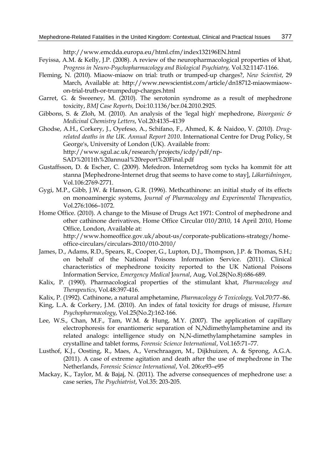http://www.emcdda.europa.eu/html.cfm/index132196EN.html

- Feyissa, A.M. & Kelly, J.P. (2008). A review of the neuropharmacological properties of khat, *Progress in Neuro-Psychopharmacology and Biological Psychiatry,* Vol.32:1147-1166.
- Fleming, N. (2010). Miaow-miaow on trial: truth or trumped-up charges?, *New Scientist*, 29 March, Available at: http://www.newscientist.com/article/dn18712-miaowmiaowon-trial-truth-or-trumpedup-charges.html
- Garret, G. & Sweeney, M. (2010). The serotonin syndrome as a result of mephedrone toxicity, *BMJ Case Reports,* Doi:10.1136/bcr.04.2010.2925.
- Gibbons, S. & Zloh, M. (2010). An analysis of the 'legal high' mephedrone, *Bioorganic & Medicinal Chemistry Letters*, Vol.20:4135–4139
- Ghodse, A.H., Corkery, J., Oyefeso, A., Schifano, F., Ahmed, K. & Naidoo, V. (2010). *Drugrelated deaths in the UK. Annual Report 2010*. International Centre for Drug Policy, St George's, University of London (UK). Available from: http://www.sgul.ac.uk/research/projects/icdp/pdf/np-SAD%2011th%20annual%20report%20Final.pdf
- Gustaffsson, D. & Escher, C. (2009). Mefedron. Internetdrog som tycks ha kommit för att stanna [Mephedrone-Internet drug that seems to have come to stay], *Läkartidningen*, Vol.106:2769-2771.
- Gygi, M.P., Gibb, J.W. & Hanson, G.R. (1996). Methcathinone: an initial study of its effects on monoaminergic systems, *Journal of Pharmacology and Experimental Therapeutics*, Vol.276:1066–1072.
- Home Office. (2010). A change to the Misuse of Drugs Act 1971: Control of mephedrone and other cathinone derivatives, Home Office Circular 010/2010, 14 April 2010, Home Office, London, Available at:

 http://www.homeoffice.gov.uk/about-us/corporate-publications-strategy/homeoffice-circulars/circulars-2010/010-2010/

- James, D., Adams, R.D., Spears, R., Cooper, G., Lupton, D.J., Thompson, J.P. & Thomas, S.H.; on behalf of the National Poisons Information Service. (2011). Clinical characteristics of mephedrone toxicity reported to the UK National Poisons Information Service, *Emergency Medical* J*ournal*, Aug, Vol.28(No.8):686-689.
- Kalix, P. (1990). Pharmacological properties of the stimulant khat, *Pharmacology and Therapeutics*, Vol.48:397-416.
- Kalix, P. (1992). Cathinone, a natural amphetamine, *Pharmacology & Toxicology,* Vol.70:77–86.
- King, L.A. & Corkery, J.M. (2010). An index of fatal toxicity for drugs of misuse, *Human Psychopharmacology*, Vol.25(No.2):162-166.
- Lee, W.S., Chan, M.F., Tam, W.M. & Hung, M.Y. (2007). The application of capillary electrophoresis for enantiomeric separation of N,Ndimethylamphetamine and its related analogs: intelligence study on N,N-dimethylamphetamine samples in crystalline and tablet forms, *Forensic Science International*, Vol.165:71–77.
- Lusthof, K.J., Oosting, R., Maes, A., Verschraagen, M., Dijkhuizen, A. & Sprong, A.G.A. (2011). A case of extreme agitation and death after the use of mephedrone in The Netherlands, *Forensic Science International*, Vol. 206:e93–e95
- Mackay, K., Taylor, M. & Bajaj, N. (2011). The adverse consequences of mephedrone use: a case series, *The Psychiatrist*, Vol.35: 203-205.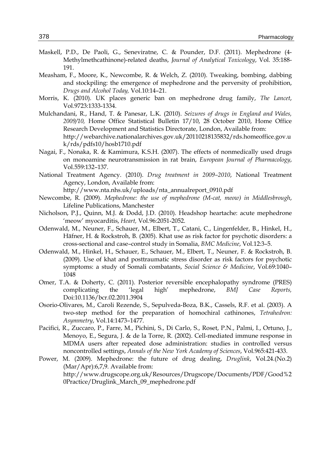- Maskell, P.D., De Paoli, G., Seneviratne, C. & Pounder, D.F. (2011). Mephedrone (4- Methylmethcathinone)-related deaths, *Journal of Analytical Toxicology*, Vol. 35:188- 191.
- Measham, F., Moore, K., Newcombe, R. & Welch, Z. (2010). Tweaking, bombing, dabbing and stockpiling: the emergence of mephedrone and the perversity of prohibition, *Drugs and Alcohol Today,* Vol.10:14–21.
- Morris, K. (2010). UK places generic ban on mephedrone drug family, *The Lancet*, Vol.9723:1333-1334.
- Mulchandani, R., Hand, T. & Panesar, L.K. (2010). *Seizures of drugs in England and Wales, 2009/10,* Home Office Statistical Bulletin 17/10, 28 October 2010, Home Office Research Development and Statistics Directorate, London, Available from: http://webarchive.nationalarchives.gov.uk/20110218135832/rds.homeoffice.gov.u k/rds/pdfs10/hosb1710.pdf
- Nagai, F., Nonaka, R. & Kamimura, K.S.H. (2007). The effects of nonmedically used drugs on monoamine neurotransmission in rat brain, *European Journal of Pharmacology*, Vol.559:132–137.
- National Treatment Agency. (2010). *Drug treatment in 2009–2010*, National Treatment Agency, London, Available from:

http://www.nta.nhs.uk/uploads/nta\_annualreport\_0910.pdf

- Newcombe, R. (2009). *Mephedrone: the use of mephedrone (M-cat, meow) in Middlesbrough*, Lifeline Publications, Manchester
- Nicholson, P.J., Quinn, M.J. & Dodd, J.D. (2010). Headshop heartache: acute mephedrone 'meow' myocarditis, *Heart,* Vol.96:2051-2052.
- Odenwald, M., Neuner, F., Schauer, M., Elbert, T., Catani, C., Lingenfelder, B., Hinkel, H., Häfner, H. & Rockstroh, B. (2005). Khat use as risk factor for psychotic disorders: a cross-sectional and case–control study in Somalia, *BMC Medicine*, Vol.12:3–5.
- Odenwald, M., Hinkel, H., Schauer, E., Schauer, M., Elbert, T., Neuner, F. & Rockstroh, B. (2009). Use of khat and posttraumatic stress disorder as risk factors for psychotic symptoms: a study of Somali combatants, *Social Science & Medicine*, Vol.69:1040– 1048
- Omer, T.A. & Doherty, C. (2011). Posterior reversible encephalopathy syndrome (PRES) complicating the 'legal high' mephedrone, *BMJ Case Reports,* Doi:10.1136/bcr.02.2011.3904
- Osorio-Olivares, M., Caroli Rezende, S., Sepulveda-Boza, B.K., Cassels, R.F. et al. (2003). A two-step method for the preparation of homochiral cathinones, *Tetrahedron: Asymmetry*, Vol.14:1473–1477.
- Pacifici, R., Zuccaro, P., Farre, M., Pichini, S., Di Carlo, S., Roset, P.N., Palmi, I., Ortuno, J., Menoyo, E., Segura, J. & de la Torre, R. (2002). Cell-mediated immune response in MDMA users after repeated dose administration: studies in controlled versus noncontrolled settings, *Annals of the New York Academy of Sciences*, Vol.965:421-433.
- Power, M. (2009). Mephedrone: the future of drug dealing, *Druglink*, Vol.24.(No.2) (Mar/Apr):6,7,9. Available from: http://www.drugscope.org.uk/Resources/Drugscope/Documents/PDF/Good%2 0Practice/Druglink\_March\_09\_mephedrone.pdf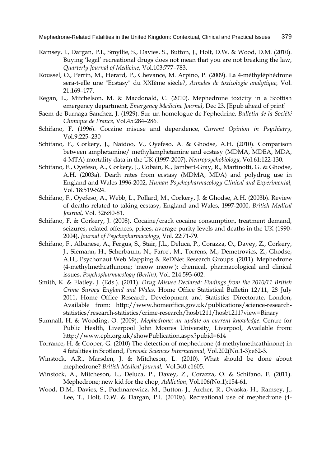- Ramsey, J., Dargan, P.I., Smyllie, S., Davies, S., Button, J., Holt, D.W. & Wood, D.M. (2010). Buying 'legal' recreational drugs does not mean that you are not breaking the law, *Quarterly Journal of Medicine*, Vol.103:777–783.
- Roussel, O., Perrin, M., Herard, P., Chevance, M. Arpino, P. (2009). La 4-méthyléphédrone sera-t-elle une "Ecstasy" du XXIème siècle?, *Annales de toxicologie analytique,* Vol. 21:169–177.
- Regan, L., Mitchelson, M. & Macdonald, C. (2010). Mephedrone toxicity in a Scottish emergency department, *Emergency Medicine Journal*, Dec 23. [Epub ahead of print]
- Saem de Burnaga Sanchez, J. (1929). Sur un homologue de l'ephedrine, *Bulletin de la Société Chimique de France,* Vol.45:284–286.
- Schifano, F. (1996). Cocaine misuse and dependence, *Current Opinion in Psychiatry*, Vol.9:225–230
- Schifano, F., Corkery, J., Naidoo, V., Oyefeso, A. & Ghodse, A.H. (2010). Comparison between amphetamine/ methylamphetamine and ecstasy (MDMA, MDEA, MDA, 4-MTA) mortality data in the UK (1997-2007), *Neuropsychobiology*, Vol.61:122-130.
- Schifano, F., Oyefeso, A., Corkery, J., Cobain, K., Jambert-Gray, R., Martinotti, G. & Ghodse, A.H. (2003a). Death rates from ecstasy (MDMA, MDA) and polydrug use in England and Wales 1996-2002, *Human Psychopharmacology Clinical and Experimental,*  Vol. 18:519-524.
- Schifano, F., Oyefeso, A., Webb, L., Pollard, M., Corkery, J. & Ghodse, A.H. (2003b). Review of deaths related to taking ecstasy, England and Wales, 1997-2000, *British Medical Journal,* Vol. 326:80-81.
- Schifano, F. & Corkery, J. (2008). Cocaine/crack cocaine consumption, treatment demand, seizures, related offences, prices, average purity levels and deaths in the UK (1990- 2004), *Journal of Psychopharmacology,* Vol. 22:71-79.
- Schifano, F., Albanese, A., Fergus, S., Stair, J.L., Deluca, P., Corazza, O., Davey, Z., Corkery, J., Siemann, H., Scherbaum, N., Farre', M., Torrens, M., Demetrovics, Z., Ghodse, A.H., Psychonaut Web Mapping & ReDNet Research Groups. (2011). Mephedrone (4-methylmethcathinone; 'meow meow'): chemical, pharmacological and clinical issues, *Psychopharmacology (Berlin)*, Vol. 214:593-602.
- Smith, K. & Flatley, J. (Eds.). (2011). *Drug Misuse Declared: Findings from the 2010/11 British Crime Survey England and Wales,* Home Office Statistical Bulletin 12/11, 28 July 2011, Home Office Research, Development and Statistics Directorate, London, Available from: http://www.homeoffice.gov.uk/publications/science-researchstatistics/research-statistics/crime-research/hosb1211/hosb1211?view=Binary
- Sumnall, H. & Wooding, O. (2009). *Mephedrone: an update on current knowledge*. Centre for Public Health, Liverpool John Moores University, Liverpool, Available from: http://www.cph.org.uk/showPublication.aspx?pubid=614
- Torrance, H. & Cooper, G. (2010) The detection of mephedrone (4-methylmethcathinone) in 4 fatalities in Scotland, *Forensic Sciences International*, Vol.202(No.1-3):e62-3.
- Winstock, A.R., Marsden, J. & Mitcheson, L. (2010). What should be done about mephedrone? *British Medical Journal,* Vol.340:c1605.
- Winstock, A., Mitcheson, L., Deluca, P., Davey, Z., Corazza, O. & Schifano, F. (2011). Mephedrone; new kid for the chop, *Addiction*, Vol.106(No.1):154-61.
- Wood, D.M., Davies, S., Puchnarewicz, M., Button, J., Archer, R., Ovaska, H., Ramsey, J., Lee, T., Holt, D.W. & Dargan, P.I. (2010a). Recreational use of mephedrone (4-